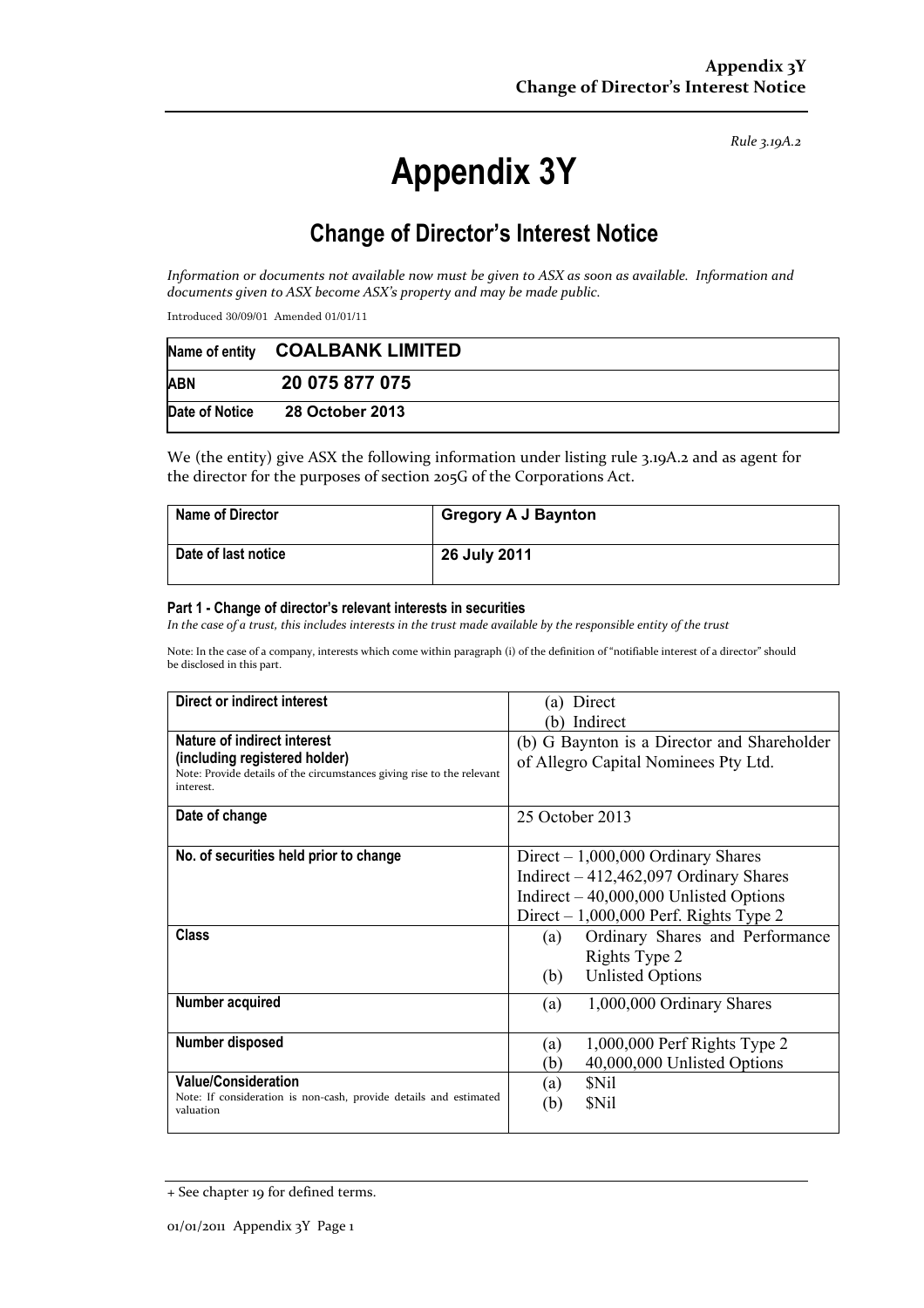*Rule 3.19A.2*

# **Appendix 3Y**

# **Change of Director's Interest Notice**

*Information or documents not available now must be given to ASX as soon as available. Information and documents given to ASX become ASX's property and may be made public.* 

Introduced 30/09/01 Amended 01/01/11

|                | Name of entity COALBANK LIMITED |  |
|----------------|---------------------------------|--|
| <b>ABN</b>     | 20 075 877 075                  |  |
| Date of Notice | 28 October 2013                 |  |

We (the entity) give ASX the following information under listing rule 3.19A.2 and as agent for the director for the purposes of section 205G of the Corporations Act.

| <b>Name of Director</b> | <b>Gregory A J Baynton</b> |
|-------------------------|----------------------------|
| Date of last notice     | 26 July 2011               |

#### **Part 1 - Change of director's relevant interests in securities**

*In the case of a trust, this includes interests in the trust made available by the responsible entity of the trust* 

Note: In the case of a company, interests which come within paragraph (i) of the definition of "notifiable interest of a director" should be disclosed in this part.

| Direct or indirect interest                                                         | (a) Direct                                  |  |
|-------------------------------------------------------------------------------------|---------------------------------------------|--|
|                                                                                     | Indirect<br>b)                              |  |
| <b>Nature of indirect interest</b>                                                  | (b) G Baynton is a Director and Shareholder |  |
| (including registered holder)                                                       | of Allegro Capital Nominees Pty Ltd.        |  |
| Note: Provide details of the circumstances giving rise to the relevant<br>interest. |                                             |  |
|                                                                                     |                                             |  |
| Date of change                                                                      | 25 October 2013                             |  |
|                                                                                     |                                             |  |
| No. of securities held prior to change                                              | Direct $-1,000,000$ Ordinary Shares         |  |
|                                                                                     | Indirect $-412,462,097$ Ordinary Shares     |  |
|                                                                                     | Indirect $-40,000,000$ Unlisted Options     |  |
|                                                                                     | Direct $-1,000,000$ Perf. Rights Type 2     |  |
| <b>Class</b>                                                                        | Ordinary Shares and Performance<br>(a)      |  |
|                                                                                     | Rights Type 2                               |  |
|                                                                                     | <b>Unlisted Options</b><br>(b)              |  |
| Number acquired                                                                     | 1,000,000 Ordinary Shares<br>(a)            |  |
|                                                                                     |                                             |  |
| Number disposed                                                                     | $1,000,000$ Perf Rights Type 2<br>(a)       |  |
|                                                                                     | 40,000,000 Unlisted Options<br>(b)          |  |
| <b>Value/Consideration</b>                                                          | \$Nil<br>(a)                                |  |
| Note: If consideration is non-cash, provide details and estimated                   | <b>SNil</b><br>(b)                          |  |
| valuation                                                                           |                                             |  |

<sup>+</sup> See chapter 19 for defined terms.